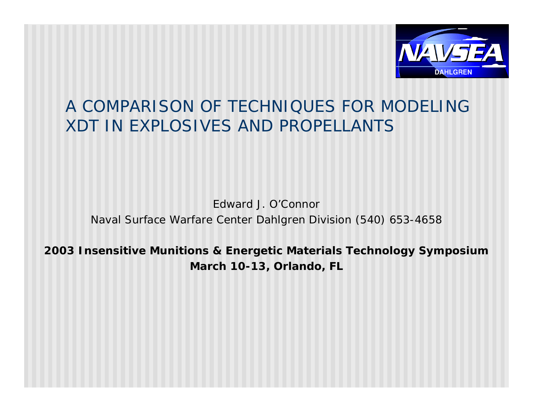

### A COMPARISON OF TECHNIQUES FOR MODELING XDT IN EXPLOSIVES AND PROPELLANTS

#### Edward J. O'Connor Naval Surface Warfare Center Dahlgren Division (540) 653-4658

#### **2003 Insensitive Munitions & Energetic Materials Technology Symposium March 10-13, Orlando, FL**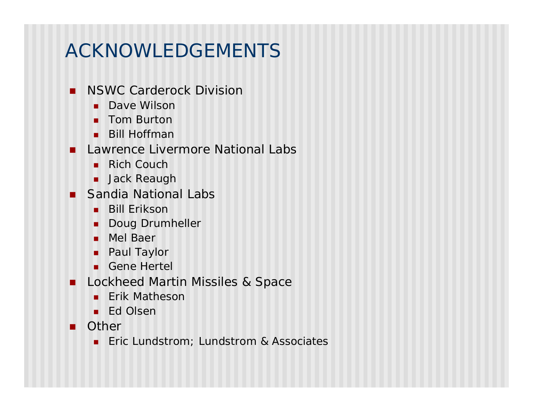# ACKNOWLEDGEMENTS

- **NSWC Carderock Division** 
	- **Dave Wilson**
	- **n** Tom Burton
	- $Bill$  Hoffman
- **n** Lawrence Livermore National Labs
	- $Rich$  Couch
	- **n** Jack Reaugh
- **n** Sandia National Labs
	- **Bill Erikson**
	- **Doug Drumheller**
	- **n** Mel Baer
	- **n** Paul Taylor
	- **n** Gene Hertel
- **n** Lockheed Martin Missiles & Space
	- **Erik Matheson**
	- **n** Ed Olsen
- **n** Other
	- **n** Eric Lundstrom; Lundstrom & Associates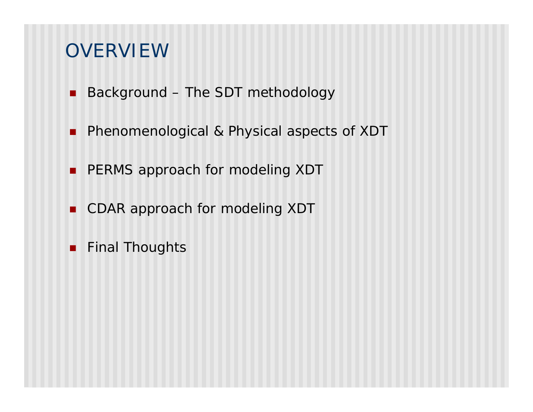### **OVERVIEW**

- Background The SDT methodology
- **n** Phenomenological & Physical aspects of XDT
- **PERMS approach for modeling XDT**
- CDAR approach for modeling XDT
- **Final Thoughts**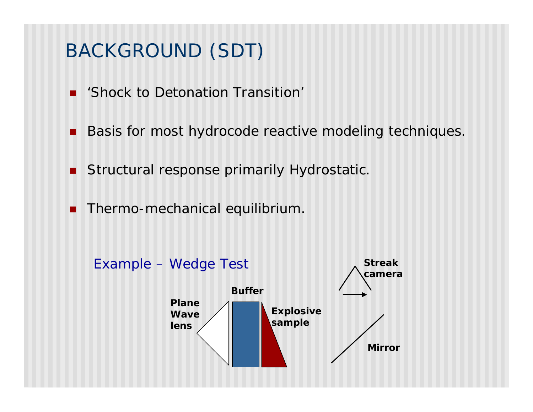## BACKGROUND (SDT)

- **n** 'Shock to Detonation Transition'
- Basis for most hydrocode reactive modeling techniques.
- **n** Structural response primarily Hydrostatic.
- **n** Thermo-mechanical equilibrium.

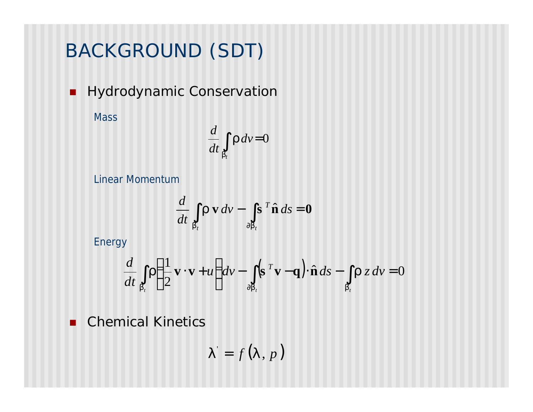# BACKGROUND (SDT)

**Hydrodynamic Conservation** 

**Mass** 

$$
\frac{d}{dt}\int_{b_t} \mathbf{r} \, d\mathbf{v} = 0
$$

Linear Momentum

$$
\frac{d}{dt} \int_{b_t} \mathbf{r} \mathbf{v} \, dv - \int_{\partial b_t} \mathbf{s}^T \hat{\mathbf{n}} \, ds = \mathbf{0}
$$

Energy

$$
\frac{d}{dt} \int_{b_t} \mathbf{r} \left( \frac{1}{2} \mathbf{v} \cdot \mathbf{v} + u \right) dv - \int_{\partial b_t} (\mathbf{s}^T \mathbf{v} - \mathbf{q}) \cdot \hat{\mathbf{n}} \, ds - \int_{b_t} \mathbf{r} \, z \, dv = 0
$$

**n** Chemical Kinetics

$$
\boldsymbol{I'}=f(\boldsymbol{I}\,,p\,\boldsymbol{)}
$$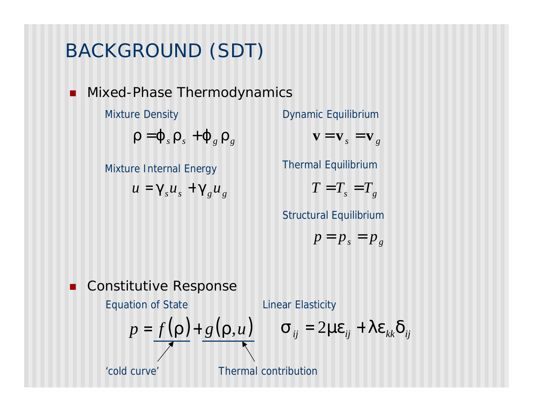# BACKGROUND (SDT)

**n** Mixed-Phase Thermodynamics

Mixture Density

 $\int$ *r* = **j**<sub>*s*</sub>  $\int$ **r**<sub>*s*</sub>  $\int$ *f***<sub>g</sub>** 

Mixture Internal Energy

 $u = g_s u_s + g_g u_g$  *T* = *T<sub>s</sub>* 

Dynamic Equilibrium

 $\mathbf{v} = \mathbf{v}_s = \mathbf{v}_g$ 

Thermal Equilibrium

$$
T=T_s=T_g
$$

Structural Equilibrium

$$
p = p_s = p_g
$$

**n** Constitutive Response

Equation of State  $p = f(\mathbf{r})+g(\mathbf{r},u)$   $\mathbf{s}_{ij} = 2m\mathbf{e}_{ij} + l\mathbf{e}_{kk}\mathbf{d}_{ij}$ 'cold curve' Thermal contribution Linear Elasticity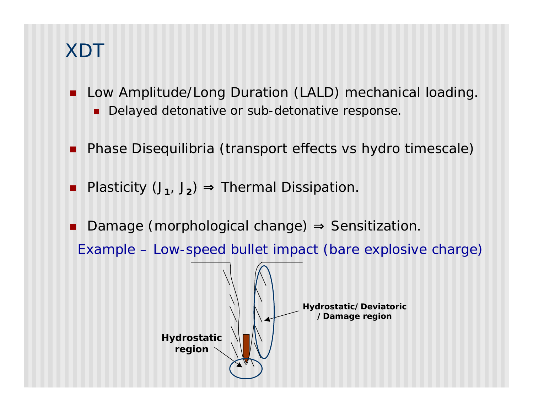- Low Amplitude/Long Duration (LALD) mechanical loading.
	- Delayed detonative or sub-detonative response.
- Phase Disequilibria (transport effects vs hydro timescale)
- Plasticity (J<sub>1</sub>, J<sub>2</sub>) ⇒ Thermal Dissipation.
- Damage (morphological change)  $\Rightarrow$  Sensitization.

Example – Low-speed bullet impact (bare explosive charge)

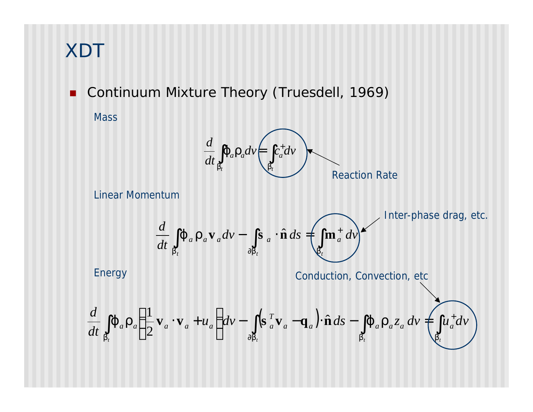**n** Continuum Mixture Theory (Truesdell, 1969) **Mass** 



Linear Momentum

Energy

$$
\frac{d}{dt} \iint_{b_t} \mathbf{j} \, a \, \mathbf{r}_a \mathbf{v}_a dv - \int_{\partial b_t} \mathbf{s} \, a \cdot \hat{\mathbf{n}} \, ds = \left( \int_{b_t} \mathbf{m}_a^+ dv \right)^{1 \text{nter-phase drag, etc.}}
$$

Conduction, Convection, etc

$$
\frac{d}{dt} \iint_{b_t} \boldsymbol{J} \cdot d\boldsymbol{r} \cdot d\left(\frac{1}{2} \mathbf{v}_a \cdot \mathbf{v}_a + u_a\right) dv - \iint_{\partial b_t} (\mathbf{s}^T_a \mathbf{v}_a - \mathbf{q}_a) \cdot \hat{\mathbf{n}} \, ds - \iint_{b_t} a \mathbf{r}_a z_a \, dv + \iint_{b_t} u_a^+ dv
$$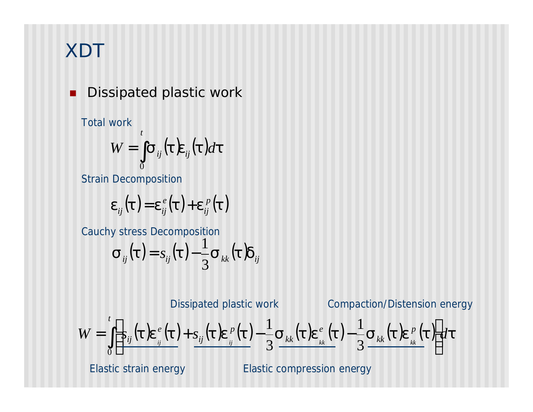### Dissipated plastic work

Total work

$$
W=\int\limits_{0}^{t}\boldsymbol{s}_{ij}(\boldsymbol{t})\boldsymbol{e}_{ij}(\boldsymbol{t})d\boldsymbol{t}
$$

Strain Decomposition

$$
\boldsymbol{e}_{ij}(\boldsymbol{t}) = \boldsymbol{e}_{ij}^{\,e}(\boldsymbol{t}) + \boldsymbol{e}_{ij}^{\,p}(\boldsymbol{t})
$$

Cauchy stress Decomposition

$$
\boldsymbol{\mathbf{s}}_{ij}(\boldsymbol{t})\!=\!\mathbf{s}_{ij}(\boldsymbol{t})\!-\!\frac{1}{3}\boldsymbol{\mathbf{s}}_{kk}(\boldsymbol{t})\boldsymbol{d}_{ij}
$$

 $W = \prod s_{ii}(t)e^{e}(t) + s_{ii}(t)e^{p}(t) - \frac{1}{2}s_{kk}(t)e^{e}(t) - \frac{1}{2}s_{kk}(t)e^{p}(t)dt$ *t p kk e kk p ij*  $\int \left| \frac{s_{ij}(t)e^{e}_{ij}(t) + s_{ij}(t)e^{p}_{ij}(t) - \frac{1}{3} s_{kk}(t)e^{e}_{kk}(t) - \frac{1}{3} s_{kk}(t)e^{p}_{kk}(t) \right|$  $\rfloor$  $\mathsf{l}$  $\overline{\phantom{a}}$  $\lfloor$  $\overline{\phantom{a}}$  $= || \, s_{_{ii}}(t) e^{\,e}_{\,\perp}(t) + s_{_{ii}}(t) e^{\,p}_{\,\perp}(t) - \frac{1}{2} s_{_{kk}}(t) e^{\,e}_{\,\perp}(t) 3\frac{1}{2} \left[ \frac{y^{2}y^{2}-y^{2}}{y^{2}-y^{2}} \frac{y^{2}-y^{2}}{y^{2}-y^{2}} \right]^{2}$  3 1 3 1 Compaction/Distension energy Dissipated plastic work

Elastic strain energy

Elastic compression energy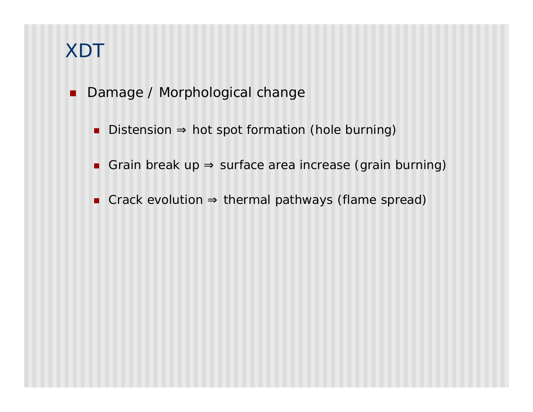- **n** Damage / Morphological change
	- Distension ⇒ hot spot formation (hole burning)
	- Grain break up ⇒ surface area increase (grain burning)
	- Crack evolution ⇒ thermal pathways (flame spread)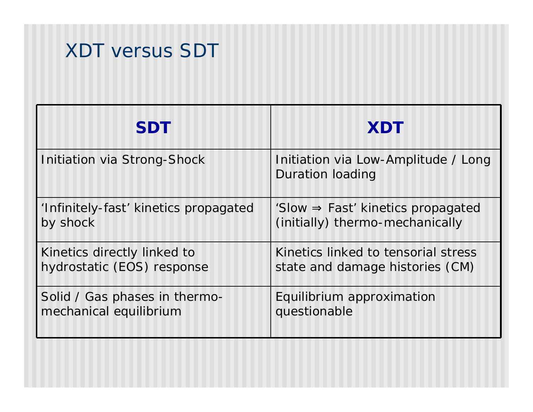# XDT versus SDT

| <b>SDT</b>                            | <b>XDT</b>                                                     |
|---------------------------------------|----------------------------------------------------------------|
| Initiation via Strong-Shock           | Initiation via Low-Amplitude / Long<br><b>Duration loading</b> |
| 'Infinitely-fast' kinetics propagated | 'Slow $\Rightarrow$ Fast' kinetics propagated                  |
| by shock                              | (initially) thermo-mechanically                                |
| Kinetics directly linked to           | Kinetics linked to tensorial stress                            |
| hydrostatic (EOS) response            | state and damage histories (CM)                                |
| Solid / Gas phases in thermo-         | Equilibrium approximation                                      |
| mechanical equilibrium                | questionable                                                   |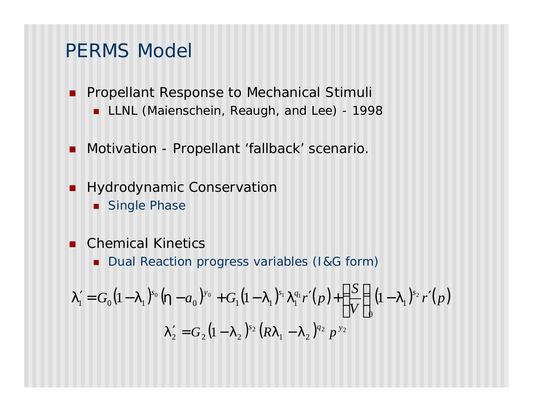### PERMS Model

- **n Propellant Response to Mechanical Stimuli LLNL (Maienschein, Reaugh, and Lee) - 1998**
- **n** Motivation Propellant 'fallback' scenario.
- **Hydrodynamic Conservation** 
	- **n** Single Phase
- **n** Chemical Kinetics
	- **n** Dual Reaction progress variables (I&G form)

$$
\boldsymbol{I}'_1 = G_0 \big(1 - \boldsymbol{I}_1\big)^{s_0} \big(\boldsymbol{h} - a_0\big)^{y_0} + G_1 \big(1 - \boldsymbol{I}_1\big)^{s_1} \boldsymbol{I}_1^{q_1} \boldsymbol{r}'(p) + \left(\frac{S}{V}\right)_0 \big(1 - \boldsymbol{I}_1\big)^{s_2} \boldsymbol{r}'(p) \n\boldsymbol{I}'_2 = G_2 \big(1 - \boldsymbol{I}_2\big)^{s_2} \big(R \boldsymbol{I}_1 - \boldsymbol{I}_2\big)^{q_2} p^{y_2}
$$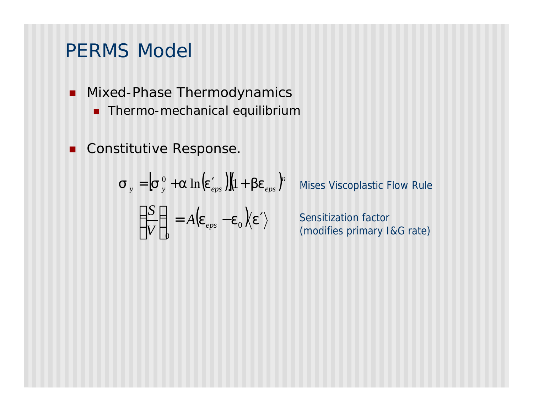### PERMS Model

- **n** Mixed-Phase Thermodynamics
	- **n** Thermo-mechanical equilibrium
- **n** Constitutive Response.

$$
\mathbf{S}_{y} = \left[\mathbf{S}_{y}^{0} + \mathbf{a} \ln(\mathbf{e}_{eps}^{\prime})\right](1 + \mathbf{b}\mathbf{e}_{eps})^{n}
$$

$$
\left(\frac{S}{V}\right)_{0} = A(\mathbf{e}_{eps} - \mathbf{e}_{0})\langle \mathbf{e}^{\prime} \rangle
$$

Mises Viscoplastic Flow Rule

Sensitization factor (modifies primary I&G rate)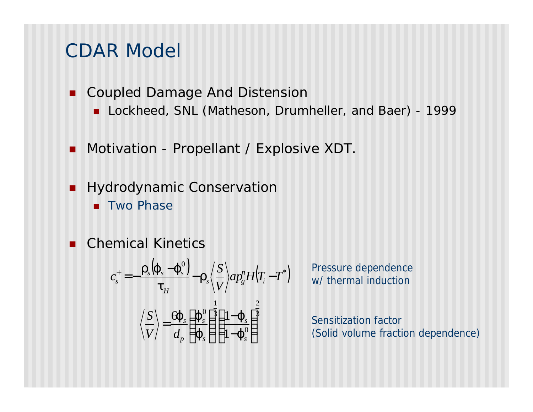### CDAR Model

- Coupled Damage And Distension
	- Lockheed, SNL (Matheson, Drumheller, and Baer) 1999
- Motivation Propellant / Explosive XDT.
- **Hydrodynamic Conservation** 
	- **n** Two Phase
- **n** Chemical Kinetics

$$
c_s^+ = -\frac{\boldsymbol{r}_s(\boldsymbol{j}_s - \boldsymbol{j}_s^0)}{\boldsymbol{t}_H} - \boldsymbol{r}_s \left\langle \frac{S}{V} \right\rangle a p_g^n H(T_i - T^*)
$$

$$
\left\langle \frac{S}{V} \right\rangle = \frac{\boldsymbol{G} \boldsymbol{j}_s}{d_p} \left( \frac{\boldsymbol{j}_s^0}{\boldsymbol{j}_s} \right)^{\frac{1}{2}} \left( \frac{1 - \boldsymbol{j}_s^0}{1 - \boldsymbol{j}_s^0} \right)^{\frac{2}{2}}
$$

Pressure dependence w/ thermal induction

Sensitization factor (Solid volume fraction dependence)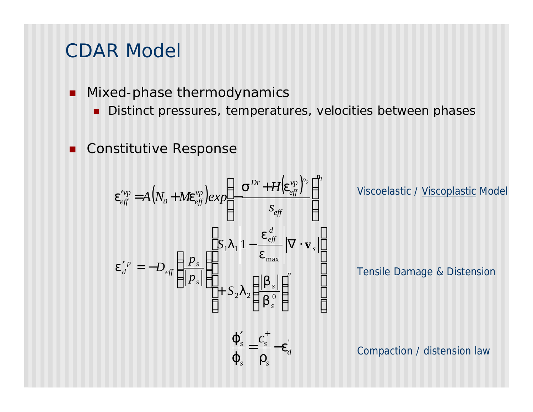### CDAR Model

- Mixed-phase thermodynamics
	- Distinct pressures, temperatures, velocities between phases

' *d*

*e*

*s*

*s*

*j*

*s*

 $=\frac{c_s}{c}$ 

*s c*

 $\int_{c}^{t} C_{s}^{\dagger}$ 

 $j_s$  *r* 

**Constitutive Response** 

 $(N_{\scriptscriptstyle O}^{}+M\!{\rm e}^{{\scriptscriptstyle V}\!p}_{\scriptscriptstyle \rho ff})\epsilon$  $\left( \boldsymbol{e}_{\scriptscriptstyle \rho ff}^{\scriptscriptstyle \nu p} \right)^{\scriptscriptstyle c}$  $\sum_{i=1}^{n}$ *eff n vp eff Dr vp*  $\theta$ <sup> $\mu$ </sup> *vp*  $\begin{bmatrix} e^{ff} & -I \mathbf{1} \mathbf{1} \mathbf{1} \mathbf{v}_0 & I \mathbf{1} \mathbf{M} \mathbf{c}_{eff} & e^{ff} \end{bmatrix}$ *H*  $A(N_0 + M\boldsymbol{e}_{\textit{eff}}^{vp}) exp\left(-\frac{S^+ + H(\boldsymbol{e}_{\textit{eff}}^{f})}{S_{\textit{eff}}}\right)$  $\overline{\phantom{a}}$  $\left( \frac{1}{2} \right)$  $\mathsf I$  $\mathsf{l}$  $\overline{\mathcal{K}}$  $\begin{pmatrix} 1 & s^{Dr} + \end{pmatrix}$  $\mathcal{L}_{\text{eff}}^{\text{vp}} = A(N_{0} + M\mathbf{e}_{\text{eff}}^{\text{vp}})exp[-\mathbf{e}_{\text{eff}}]$  $\mathbf{s}^{Dr}$ +H $\mathbf{e}$  $e_{\text{eff}}^{\text{vp}} = A(N_o + M\epsilon)$  $\overline{\phantom{a}}$  $\overline{\phantom{a}}$  $\overline{\phantom{a}}$  $\overline{\phantom{a}}$  $\overline{\phantom{a}}$  $\overline{\phantom{a}}$ J  $\overline{\phantom{a}}$  $\overline{\phantom{a}}$  $\mathsf{I}$  $\mathsf{I}$  $\mathsf{I}$  $\mathsf{I}$  $\mathsf{I}$ L  $\mathsf{I}$ I I  $\overline{\phantom{a}}$  $\mathcal{L}$  $\mathsf I$  $\mathsf I$  $\overline{\mathcal{K}}$  $\sqrt{}$ +  $-\frac{e_{\textit{t}t}}{e_{\textit{t}}}$   $\left\| \nabla \cdot \right\|$   $\overline{\phantom{a}}$  $\overline{a}$  $\mathsf I$  $\mathsf I$  $\setminus$  $\big($  $\int_{d}^{p} = -D_{\text{eff}} \left| \frac{P_{s}}{\left| n \right|} \right|$   $\left| \frac{P_{s}}{\left| n \right|} \right|$   $\left| \frac{m\omega}{\left| n \right|} \right|$ *s s s d eff s s eff p d S S p p D*  $2$ <sup>2</sup>  $\frac{1}{b}$  0 max  $| \bm{l}_1 | 1$ *b b l e e l e* **v**

Viscoelastic / Viscoplastic Model

Tensile Damage & Distension

Compaction / distension law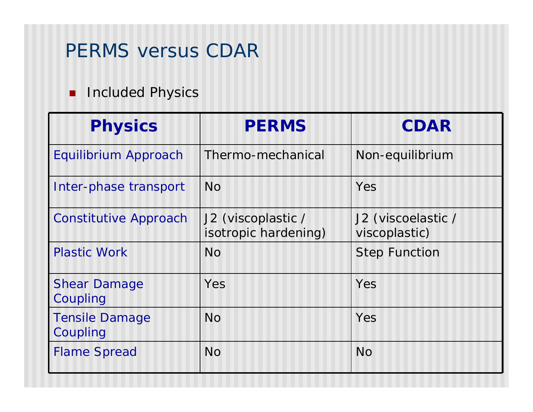### PERMS versus CDAR

### **n** Included Physics

| <b>Physics</b>                    | <b>PERMS</b>                               | <b>CDAR</b>                         |
|-----------------------------------|--------------------------------------------|-------------------------------------|
| Equilibrium Approach              | Thermo-mechanical                          | Non-equilibrium                     |
| Inter-phase transport             | <b>No</b>                                  | Yes                                 |
| <b>Constitutive Approach</b>      | J2 (viscoplastic /<br>isotropic hardening) | J2 (viscoelastic /<br>viscoplastic) |
| <b>Plastic Work</b>               | <b>No</b>                                  | <b>Step Function</b>                |
| <b>Shear Damage</b><br>Coupling   | Yes                                        | Yes                                 |
| <b>Tensile Damage</b><br>Coupling | No                                         | Yes                                 |
| <b>Flame Spread</b>               | <b>No</b>                                  | <b>No</b>                           |